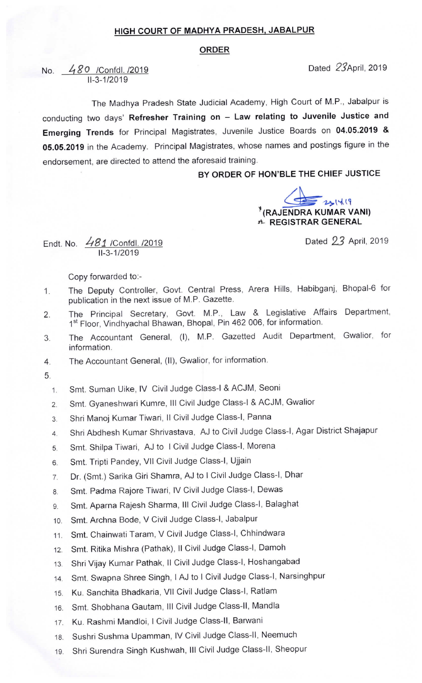## HIGH COURT OF MADHYA PRADESH, JABALPUR

## ORDER

No. 480 /Confdl. /2019 2019  $IL - 3 - 1/2 019$ 

The Madhya Pradesh State Judicial Academy, High Court of M.P., Jabalpur is conducting two days' Refresher Training on - Law relating to Juvenile Justice and Emerging Trends for Principal Magistrates, Juvenile Justice Boards on 04.05.2019 & 05.05.2019 in the Academy. Principal Magistrates, whose names and postings figure in the endorsement, are directed to attend the aforesaid training.

BY ORDER OF HON'BLE THE CHIEF JUSTICE

EE 231419 dr REGISTRAR GENERAL

Dated 23 April, 2019

Endt. No. 48J /Confdl. /2019 II-3-1/2019

Copy forwarded to:-

- 1. The Deputy Controller, Govt. Central Press, Arera Hills, Habibganj, Bhopal-6 for publication in the next issue of M.P. Gazette.
- 2. The Principal Secretary, Govt. M.P., Law & Legislative Affairs Department, 1st Floor, Vindhyachal Bhawan, Bhopal, Pin 462 006, for information.
- 3. The Accountant General, (I), M.P. Gazetted Audit Department, Gwalior, for information.
- 4. The Accountant General, (ll), Gwalior, for information.
- 5.
	- 1. Smt. Suman Uike, IV Civil Judge Class-I & ACJM, Seoni
	- 2. Smt. Gyaneshwari Kumre, III Civil Judge Class-I & ACJM, Gwalior
	- 3. Shri Manoj Kumar Tiwari, Il Civil Judge Class-I, Panna
	- 4. Shri Abdhesh Kumar Shrivastava, AJ to Civil Judge Class-I, Agar District Shajapur
	- 5. Smt. Shilpa Tiwari, AJ to I Civil Judge Class-I, Morena
	- 6. Smt. Tripti pandey, Vll civil Judge class-I, Ujjain
	- 7. Dr. (Smt.) Sarika Giri shamra, AJ to I civil Judge class-I, Dhar
	- 8. Smt. Padma Rajore Tiwari, IV Civil Judge Class-I, Dewas
	- 9. Smt. Aparna Rajesh Sharma, III Civil Judge Class-I, Balaghat
	- 10. Smt. Archna Bode, V Civil Judge Class-I, Jabalpur
	- 11 Smt. Chainwati Taram, V civil Judge class-I, Chhindwara
	- 12. Smt. Ritika Mishra (Pathak), Il Civil Judge Class-I, Damoh
	- 13. Shri Vijay Kumar Pathak, II Civil Judge Class-I, Hoshangabad
	- 14 Smt. Swapna shree singh, I AJ to I civil Judge class-I, Narsinghpur
	- 15. Ku. Sanchita Bhadkaria, Vll Civil Judge Class-I, Ratlam
	- 16. Smt. Shobhana Gautam, III Civil Judge Class-II, Mandla
	- 17. Ku. Rashmi Mandloi, I Civil Judge Class-II, Barwani
	- 18. Sushri Sushma Upamman, lv Civil Judge Class-ll, Neemuch
	- 19. Shri Surendra Singh Kushwah, III Civil Judge Class-II, Sheopur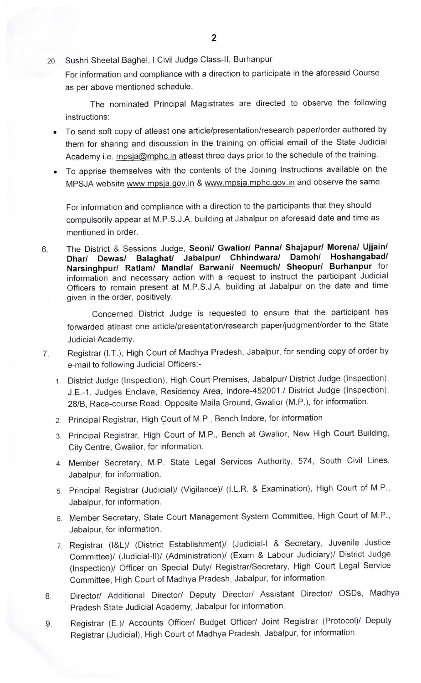20. Sushri Sheetal Baghel, I Civil Judge Class-II, Burhanpur

For information and compliance with a direction to participate in the aforesaid Course as per above mentioned schedule.

The nominated Principal Magistrates are directed to observe the following instructions:

- To send soft copy of atleast one article/presentation/research paper/order authored by them for sharing and discussion in the training on official email of the State Judicial Academy i.e. mpsja@mphc.in atleast three days prior to the schedule of the training.
- To apprise themselves with the contents of the Joining Instructions available on the MPSJA website www.mpsja.gov.in & www.mpsja.mphc.gov.in and observe the same.

For information and compliance with a direction to the participants that they should compulsorily appear at M.P.S.J.A. building at Jabalpur on aforesaid date and time as mentioned in order.

The District & Sessions Judge, Seoni/ Gwalior/ Panna/ Shajapur/ Morena/ Ujjain/ 6. Jabalpur/ Chhindwara/ Damoh/ Hoshangabad/ Narsinghpur/ Ratlam/ Mandla/ Barwani/ Neemuch/ Sheopur/ Burhanpur for information and necessary action with a request to instruct the participant Judicial Officers to remain present at M.P.S.J.A. building at Jabalpur on the date and time given in the order, positively.

Concerned District Judge is requested to ensure that the participant has forwarded atleast one article/presentation/research paper/judgment/order to the State Judicial Academy.

- Registrar (I.T.), High Court of Madhya Pradesh, Jabalpur, for sending copy of order by 7. e-mail to following Judicial Officers:-
	- 1 District Judge (Inspection), High Court Premises, Jabalpur/ District Judge (Inspection), J.E.-1, Judges Enclave, Residency Area, Indore-452001./ District Judge (Inspection), 28/8, Race-course Road, Opposite Maila Ground, Gwalior (M.P.), for information.
	- 2. Principal Registrar, High Court of M.P., Bench Indore, for information
	- 3 Principal Registrar, High Court of M.P., Bench at Gwalior, New High Court Building, City Centre, Gwalior, for information.
	- 4. Member Secretary, M.P. State Legal Services Authority, 574, South Civil Lines, Jabalpur, for information.
	- 5. Principal Registrar (Judicial)/ (Vigilance)/ (I.L.R & Examination), High Court of M.P., Jabalpur, for information.
	- 6. Member Secretary, State Court Management System Committee, High Court of M.P., Jabalpur, for information.
	- 7. Registrar (l&L)/ (District Establishment)/ (Judicial-I & Secretary, Juvenile Justice Committee)/ (Judicial-ll)/ (Administration)/ (Exam & Labour Judiciary)/ District Judge (Inspection)/ Officer on Special Duty/ Registrar/Secretary, High Court Legal Service Committee, High Court of Madhya Pradesh, Jabalpur, for information.
- Director/ Additional Director/ Deputy Director/ Assistant Director/ OSDs, Madhya 8. Pradesh State Judicial Academy, Jabalpur for information.
- Registrar (E.)/ Accounts Officer/ Budget Officer/ Joint Registrar (Protocol)/ Deputy 9. Registrar (Judicial), High Court of Madhya Pradesh, Jabalpur, for information.